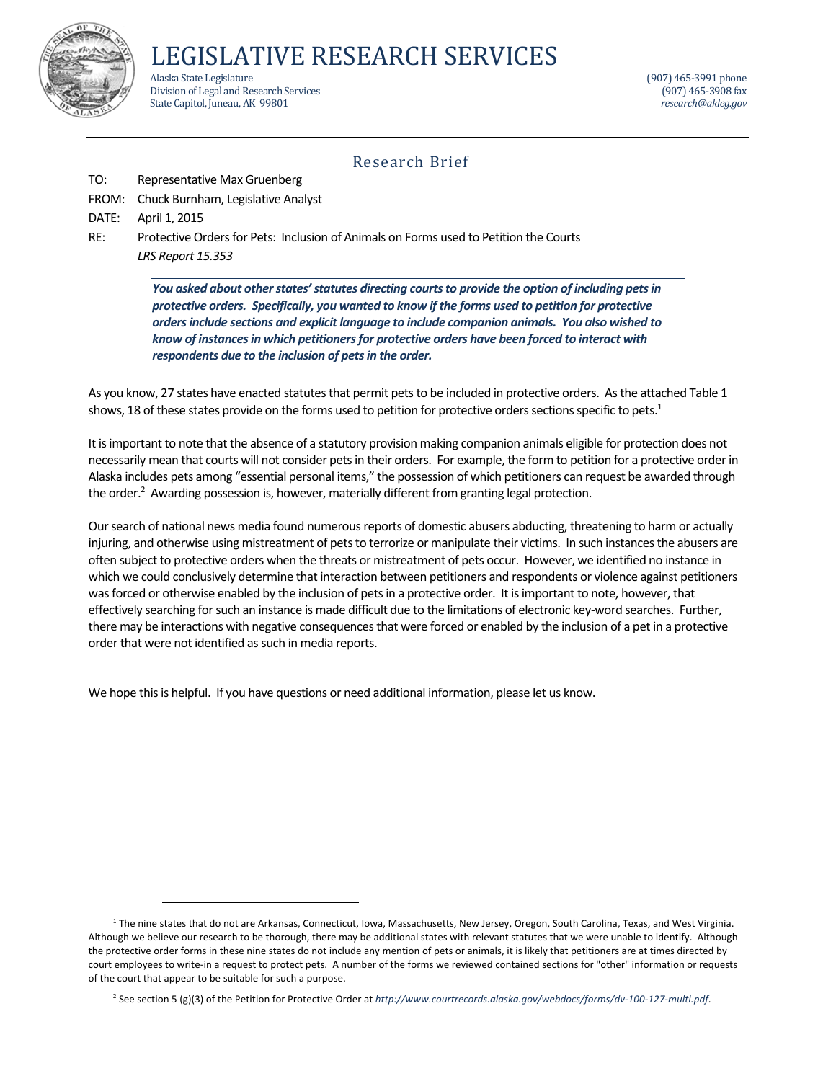

LEGISLATIVE RESEARCH SERVICES

Alaska State Legislature (907) 465‐3991 phone (907) 465‐3991 phone (907) 465‐3991 phone (907) 465‐3991 phone (<br>Division of Legal and Research Services Division of Legal and Research Services State Capitol, Juneau, AK 99801 *research@akleg.gov research@akleg.gov* 

## Research Brief

- TO: Representative Max Gruenberg
- FROM: Chuck Burnham, Legislative Analyst

DATE: April 1, 2015

RE: Protective Orders for Pets: Inclusion of Animals on Forms used to Petition the Courts  *LRS Report 15.353*

> *You asked about other states' statutes directing courts to provide the option of including pets in protective orders. Specifically, you wanted to know if the forms used to petition for protective ordersinclude sections and explicit language to include companion animals. You also wished to know of instancesin which petitionersfor protective orders have been forced to interact with respondents due to the inclusion of petsin the order.*

As you know, 27 states have enacted statutes that permit pets to be included in protective orders. As the attached Table 1 shows, 18 of these states provide on the forms used to petition for protective orders sections specific to pets. $^1$ 

It is important to note that the absence of a statutory provision making companion animals eligible for protection does not necessarily mean that courts will not consider pets in their orders. For example, the form to petition for a protective order in Alaska includes pets among "essential personal items," the possession of which petitioners can request be awarded through the order.<sup>2</sup> Awarding possession is, however, materially different from granting legal protection.

Our search of national news media found numerous reports of domestic abusers abducting, threatening to harm or actually injuring, and otherwise using mistreatment of pets to terrorize or manipulate their victims. In such instances the abusers are often subject to protective orders when the threats or mistreatment of pets occur. However, we identified no instance in which we could conclusively determine that interaction between petitioners and respondents or violence against petitioners was forced or otherwise enabled by the inclusion of pets in a protective order. It is important to note, however, that effectively searching for such an instance is made difficult due to the limitations of electronic key-word searches. Further, there may be interactions with negative consequencesthat were forced or enabled by the inclusion of a pet in a protective order that were not identified as such in media reports.

We hope this is helpful. If you have questions or need additional information, please let us know.

<sup>1</sup> The nine states that do not are Arkansas, Connecticut, Iowa, Massachusetts, New Jersey, Oregon, South Carolina, Texas, and West Virginia. Although we believe our research to be thorough, there may be additional states with relevant statutes that we were unable to identify. Although the protective order forms in these nine states do not include any mention of pets or animals, it is likely that petitioners are at times directed by court employees to write-in a request to protect pets. A number of the forms we reviewed contained sections for "other" information or requests of the court that appear to be suitable for such a purpose.

<sup>2</sup> See section 5 (g)(3) of the Petition for Protective Order at *http://www.courtrecords.alaska.gov/webdocs/forms/dv‐100‐127‐multi.pdf*.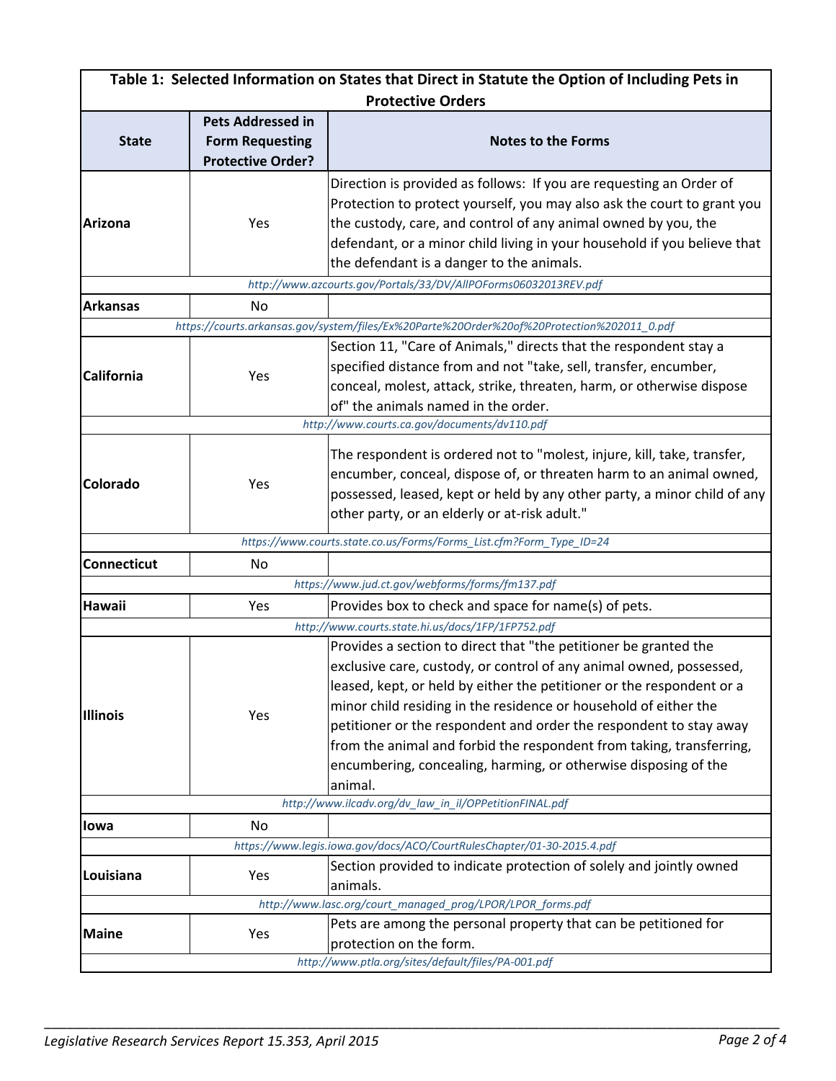| Table 1: Selected Information on States that Direct in Statute the Option of Including Pets in |                          |                                                                                                                                                                                                                                                                                                                                                                                                                                                                                                                  |  |  |
|------------------------------------------------------------------------------------------------|--------------------------|------------------------------------------------------------------------------------------------------------------------------------------------------------------------------------------------------------------------------------------------------------------------------------------------------------------------------------------------------------------------------------------------------------------------------------------------------------------------------------------------------------------|--|--|
|                                                                                                |                          | <b>Protective Orders</b>                                                                                                                                                                                                                                                                                                                                                                                                                                                                                         |  |  |
|                                                                                                | <b>Pets Addressed in</b> |                                                                                                                                                                                                                                                                                                                                                                                                                                                                                                                  |  |  |
| <b>State</b>                                                                                   | <b>Form Requesting</b>   | <b>Notes to the Forms</b>                                                                                                                                                                                                                                                                                                                                                                                                                                                                                        |  |  |
|                                                                                                | <b>Protective Order?</b> |                                                                                                                                                                                                                                                                                                                                                                                                                                                                                                                  |  |  |
| <b>Arizona</b>                                                                                 | Yes                      | Direction is provided as follows: If you are requesting an Order of<br>Protection to protect yourself, you may also ask the court to grant you<br>the custody, care, and control of any animal owned by you, the<br>defendant, or a minor child living in your household if you believe that<br>the defendant is a danger to the animals.                                                                                                                                                                        |  |  |
|                                                                                                |                          | http://www.azcourts.gov/Portals/33/DV/AllPOForms06032013REV.pdf                                                                                                                                                                                                                                                                                                                                                                                                                                                  |  |  |
| <b>Arkansas</b>                                                                                | No                       |                                                                                                                                                                                                                                                                                                                                                                                                                                                                                                                  |  |  |
|                                                                                                |                          | https://courts.arkansas.gov/system/files/Ex%20Parte%20Order%20of%20Protection%202011_0.pdf                                                                                                                                                                                                                                                                                                                                                                                                                       |  |  |
| <b>California</b>                                                                              | Yes                      | Section 11, "Care of Animals," directs that the respondent stay a<br>specified distance from and not "take, sell, transfer, encumber,<br>conceal, molest, attack, strike, threaten, harm, or otherwise dispose<br>of" the animals named in the order.                                                                                                                                                                                                                                                            |  |  |
|                                                                                                |                          | http://www.courts.ca.gov/documents/dv110.pdf                                                                                                                                                                                                                                                                                                                                                                                                                                                                     |  |  |
| Colorado                                                                                       | Yes                      | The respondent is ordered not to "molest, injure, kill, take, transfer,<br>encumber, conceal, dispose of, or threaten harm to an animal owned,<br>possessed, leased, kept or held by any other party, a minor child of any<br>other party, or an elderly or at-risk adult."                                                                                                                                                                                                                                      |  |  |
|                                                                                                |                          | https://www.courts.state.co.us/Forms/Forms_List.cfm?Form_Type_ID=24                                                                                                                                                                                                                                                                                                                                                                                                                                              |  |  |
| <b>Connecticut</b>                                                                             | No                       |                                                                                                                                                                                                                                                                                                                                                                                                                                                                                                                  |  |  |
|                                                                                                |                          | https://www.jud.ct.gov/webforms/forms/fm137.pdf                                                                                                                                                                                                                                                                                                                                                                                                                                                                  |  |  |
| <b>Hawaii</b>                                                                                  | Yes                      | Provides box to check and space for name(s) of pets.                                                                                                                                                                                                                                                                                                                                                                                                                                                             |  |  |
|                                                                                                |                          | http://www.courts.state.hi.us/docs/1FP/1FP752.pdf                                                                                                                                                                                                                                                                                                                                                                                                                                                                |  |  |
| <b>Illinois</b>                                                                                | Yes                      | Provides a section to direct that "the petitioner be granted the<br>exclusive care, custody, or control of any animal owned, possessed,<br>leased, kept, or held by either the petitioner or the respondent or a<br>minor child residing in the residence or household of either the<br>petitioner or the respondent and order the respondent to stay away<br>from the animal and forbid the respondent from taking, transferring,<br>encumbering, concealing, harming, or otherwise disposing of the<br>animal. |  |  |
|                                                                                                |                          | http://www.ilcadv.org/dv_law_in_il/OPPetitionFINAL.pdf                                                                                                                                                                                                                                                                                                                                                                                                                                                           |  |  |
| lowa                                                                                           | No                       |                                                                                                                                                                                                                                                                                                                                                                                                                                                                                                                  |  |  |
|                                                                                                |                          | https://www.legis.iowa.gov/docs/ACO/CourtRulesChapter/01-30-2015.4.pdf                                                                                                                                                                                                                                                                                                                                                                                                                                           |  |  |
| Louisiana                                                                                      | Yes                      | Section provided to indicate protection of solely and jointly owned<br>animals.                                                                                                                                                                                                                                                                                                                                                                                                                                  |  |  |
| http://www.lasc.org/court_managed_prog/LPOR/LPOR_forms.pdf                                     |                          |                                                                                                                                                                                                                                                                                                                                                                                                                                                                                                                  |  |  |
| <b>Maine</b>                                                                                   | Yes                      | Pets are among the personal property that can be petitioned for<br>protection on the form.<br>http://www.ptla.org/sites/default/files/PA-001.pdf                                                                                                                                                                                                                                                                                                                                                                 |  |  |

\_\_\_\_\_\_\_\_\_\_\_\_\_\_\_\_\_\_\_\_\_\_\_\_\_\_\_\_\_\_\_\_\_\_\_\_\_\_\_\_\_\_\_\_\_\_\_\_\_\_\_\_\_\_\_\_\_\_\_\_\_\_\_\_\_\_\_\_\_\_\_\_\_\_\_\_\_\_\_\_\_\_\_\_\_\_\_\_\_\_\_\_\_\_\_\_\_\_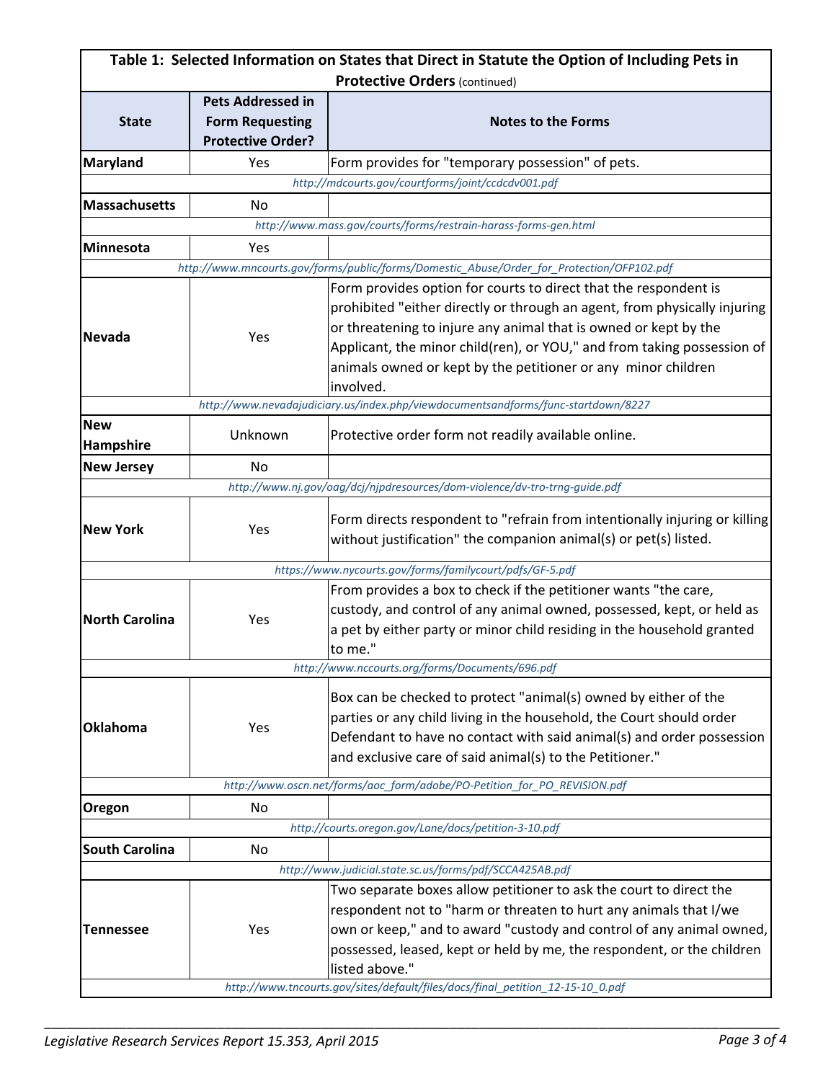| Table 1: Selected Information on States that Direct in Statute the Option of Including Pets in<br><b>Protective Orders (continued)</b> |                                                    |                                                                                           |  |  |  |
|----------------------------------------------------------------------------------------------------------------------------------------|----------------------------------------------------|-------------------------------------------------------------------------------------------|--|--|--|
|                                                                                                                                        |                                                    |                                                                                           |  |  |  |
| <b>State</b>                                                                                                                           | <b>Form Requesting</b>                             | <b>Notes to the Forms</b>                                                                 |  |  |  |
|                                                                                                                                        | <b>Protective Order?</b>                           |                                                                                           |  |  |  |
| Maryland                                                                                                                               | Yes                                                | Form provides for "temporary possession" of pets.                                         |  |  |  |
|                                                                                                                                        | http://mdcourts.gov/courtforms/joint/ccdcdv001.pdf |                                                                                           |  |  |  |
| <b>Massachusetts</b>                                                                                                                   | No                                                 |                                                                                           |  |  |  |
|                                                                                                                                        |                                                    | http://www.mass.gov/courts/forms/restrain-harass-forms-gen.html                           |  |  |  |
| Minnesota                                                                                                                              | Yes                                                |                                                                                           |  |  |  |
|                                                                                                                                        |                                                    | http://www.mncourts.gov/forms/public/forms/Domestic_Abuse/Order_for_Protection/OFP102.pdf |  |  |  |
|                                                                                                                                        | Yes                                                | Form provides option for courts to direct that the respondent is                          |  |  |  |
|                                                                                                                                        |                                                    | prohibited "either directly or through an agent, from physically injuring                 |  |  |  |
| Nevada                                                                                                                                 |                                                    | or threatening to injure any animal that is owned or kept by the                          |  |  |  |
|                                                                                                                                        |                                                    | Applicant, the minor child(ren), or YOU," and from taking possession of                   |  |  |  |
|                                                                                                                                        |                                                    | animals owned or kept by the petitioner or any minor children                             |  |  |  |
|                                                                                                                                        |                                                    | involved.                                                                                 |  |  |  |
|                                                                                                                                        |                                                    | http://www.nevadajudiciary.us/index.php/viewdocumentsandforms/func-startdown/8227         |  |  |  |
| <b>New</b>                                                                                                                             | Unknown                                            | Protective order form not readily available online.                                       |  |  |  |
| Hampshire                                                                                                                              |                                                    |                                                                                           |  |  |  |
| <b>New Jersey</b>                                                                                                                      | No                                                 |                                                                                           |  |  |  |
|                                                                                                                                        |                                                    | http://www.nj.gov/oag/dcj/njpdresources/dom-violence/dv-tro-trng-guide.pdf                |  |  |  |
|                                                                                                                                        | Yes                                                | Form directs respondent to "refrain from intentionally injuring or killing                |  |  |  |
| <b>New York</b>                                                                                                                        |                                                    | without justification" the companion animal(s) or pet(s) listed.                          |  |  |  |
|                                                                                                                                        |                                                    |                                                                                           |  |  |  |
|                                                                                                                                        |                                                    | https://www.nycourts.gov/forms/familycourt/pdfs/GF-5.pdf                                  |  |  |  |
|                                                                                                                                        |                                                    | From provides a box to check if the petitioner wants "the care,                           |  |  |  |
| <b>North Carolina</b>                                                                                                                  | Yes                                                | custody, and control of any animal owned, possessed, kept, or held as                     |  |  |  |
|                                                                                                                                        |                                                    | a pet by either party or minor child residing in the household granted                    |  |  |  |
|                                                                                                                                        |                                                    | to me."                                                                                   |  |  |  |
|                                                                                                                                        |                                                    | http://www.nccourts.org/forms/Documents/696.pdf                                           |  |  |  |
|                                                                                                                                        | Yes                                                | Box can be checked to protect "animal(s) owned by either of the                           |  |  |  |
| Oklahoma                                                                                                                               |                                                    | parties or any child living in the household, the Court should order                      |  |  |  |
|                                                                                                                                        |                                                    | Defendant to have no contact with said animal(s) and order possession                     |  |  |  |
|                                                                                                                                        |                                                    | and exclusive care of said animal(s) to the Petitioner."                                  |  |  |  |
|                                                                                                                                        |                                                    | http://www.oscn.net/forms/aoc_form/adobe/PO-Petition_for_PO_REVISION.pdf                  |  |  |  |
| Oregon                                                                                                                                 | No                                                 |                                                                                           |  |  |  |
|                                                                                                                                        |                                                    | http://courts.oregon.gov/Lane/docs/petition-3-10.pdf                                      |  |  |  |
| <b>South Carolina</b>                                                                                                                  | No                                                 |                                                                                           |  |  |  |
|                                                                                                                                        |                                                    | http://www.judicial.state.sc.us/forms/pdf/SCCA425AB.pdf                                   |  |  |  |
|                                                                                                                                        |                                                    | Two separate boxes allow petitioner to ask the court to direct the                        |  |  |  |
| <b>Tennessee</b>                                                                                                                       | Yes                                                | respondent not to "harm or threaten to hurt any animals that I/we                         |  |  |  |
|                                                                                                                                        |                                                    | own or keep," and to award "custody and control of any animal owned,                      |  |  |  |
|                                                                                                                                        |                                                    | possessed, leased, kept or held by me, the respondent, or the children                    |  |  |  |
|                                                                                                                                        |                                                    | listed above."                                                                            |  |  |  |
|                                                                                                                                        |                                                    | http://www.tncourts.gov/sites/default/files/docs/final_petition_12-15-10_0.pdf            |  |  |  |
|                                                                                                                                        |                                                    |                                                                                           |  |  |  |

\_\_\_\_\_\_\_\_\_\_\_\_\_\_\_\_\_\_\_\_\_\_\_\_\_\_\_\_\_\_\_\_\_\_\_\_\_\_\_\_\_\_\_\_\_\_\_\_\_\_\_\_\_\_\_\_\_\_\_\_\_\_\_\_\_\_\_\_\_\_\_\_\_\_\_\_\_\_\_\_\_\_\_\_\_\_\_\_\_\_\_\_\_\_\_\_\_\_